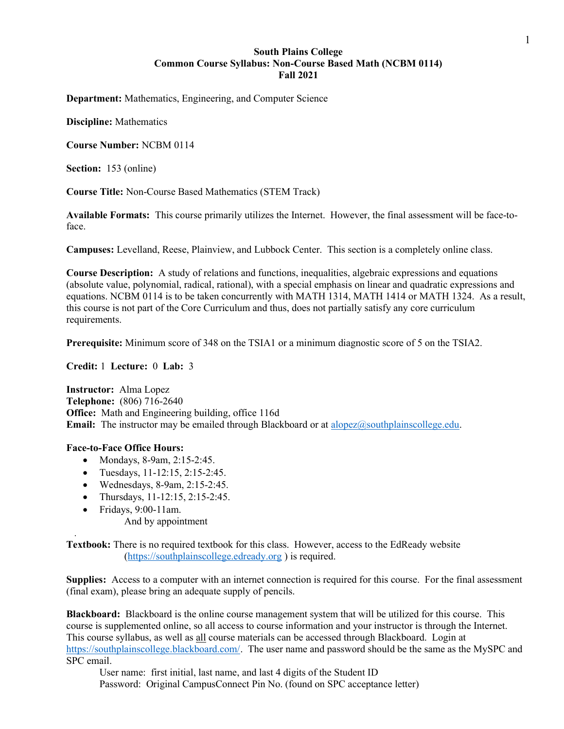## South Plains College Common Course Syllabus: Non-Course Based Math (NCBM 0114) Fall 2021

Department: Mathematics, Engineering, and Computer Science

Discipline: Mathematics

Course Number: NCBM 0114

Section: 153 (online)

Course Title: Non-Course Based Mathematics (STEM Track)

Available Formats: This course primarily utilizes the Internet. However, the final assessment will be face-toface.

Campuses: Levelland, Reese, Plainview, and Lubbock Center. This section is a completely online class.

Course Description: A study of relations and functions, inequalities, algebraic expressions and equations (absolute value, polynomial, radical, rational), with a special emphasis on linear and quadratic expressions and equations. NCBM 0114 is to be taken concurrently with MATH 1314, MATH 1414 or MATH 1324. As a result, this course is not part of the Core Curriculum and thus, does not partially satisfy any core curriculum requirements.

Prerequisite: Minimum score of 348 on the TSIA1 or a minimum diagnostic score of 5 on the TSIA2.

Credit: 1 Lecture: 0 Lab: 3

Instructor: Alma Lopez Telephone: (806) 716-2640 Office: Math and Engineering building, office 116d **Email:** The instructor may be emailed through Blackboard or at alopez@southplainscollege.edu.

## Face-to-Face Office Hours:

.

- Mondays, 8-9am, 2:15-2:45.
- Tuesdays,  $11-12:15$ ,  $2:15-2:45$ .
- Wednesdays, 8-9am, 2:15-2:45.
- Thursdays, 11-12:15, 2:15-2:45.
- Fridays, 9:00-11am. And by appointment

Textbook: There is no required textbook for this class. However, access to the EdReady website (https://southplainscollege.edready.org ) is required.

Supplies: Access to a computer with an internet connection is required for this course. For the final assessment (final exam), please bring an adequate supply of pencils.

Blackboard: Blackboard is the online course management system that will be utilized for this course. This course is supplemented online, so all access to course information and your instructor is through the Internet. This course syllabus, as well as all course materials can be accessed through Blackboard. Login at https://southplainscollege.blackboard.com/. The user name and password should be the same as the MySPC and SPC email.

User name: first initial, last name, and last 4 digits of the Student ID Password: Original CampusConnect Pin No. (found on SPC acceptance letter)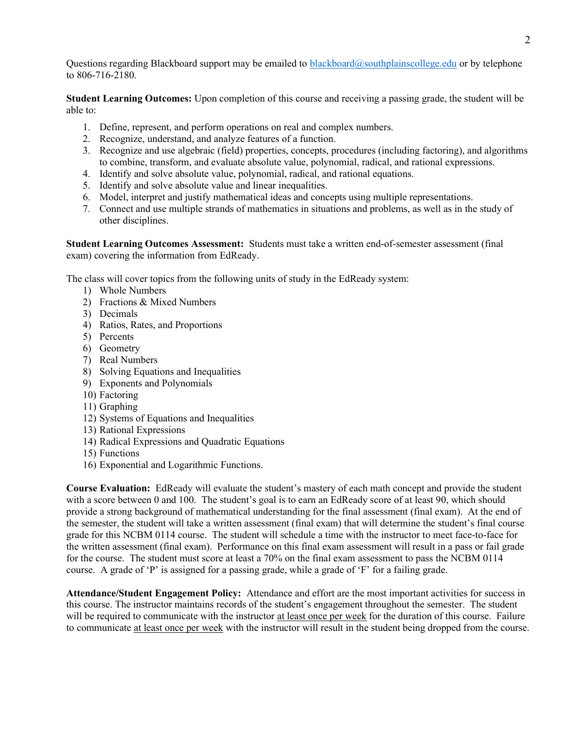Questions regarding Blackboard support may be emailed to blackboard@southplainscollege.edu or by telephone to 806-716-2180.

Student Learning Outcomes: Upon completion of this course and receiving a passing grade, the student will be able to:

- 1. Define, represent, and perform operations on real and complex numbers.
- 2. Recognize, understand, and analyze features of a function.
- 3. Recognize and use algebraic (field) properties, concepts, procedures (including factoring), and algorithms to combine, transform, and evaluate absolute value, polynomial, radical, and rational expressions.
- 4. Identify and solve absolute value, polynomial, radical, and rational equations.
- 5. Identify and solve absolute value and linear inequalities.
- 6. Model, interpret and justify mathematical ideas and concepts using multiple representations.
- 7. Connect and use multiple strands of mathematics in situations and problems, as well as in the study of other disciplines.

Student Learning Outcomes Assessment: Students must take a written end-of-semester assessment (final exam) covering the information from EdReady.

The class will cover topics from the following units of study in the EdReady system:

- 1) Whole Numbers
- 2) Fractions & Mixed Numbers
- 3) Decimals
- 4) Ratios, Rates, and Proportions
- 5) Percents
- 6) Geometry
- 7) Real Numbers
- 8) Solving Equations and Inequalities
- 9) Exponents and Polynomials
- 10) Factoring
- 11) Graphing
- 12) Systems of Equations and Inequalities
- 13) Rational Expressions
- 14) Radical Expressions and Quadratic Equations
- 15) Functions
- 16) Exponential and Logarithmic Functions.

Course Evaluation: EdReady will evaluate the student's mastery of each math concept and provide the student with a score between 0 and 100. The student's goal is to earn an EdReady score of at least 90, which should provide a strong background of mathematical understanding for the final assessment (final exam). At the end of the semester, the student will take a written assessment (final exam) that will determine the student's final course grade for this NCBM 0114 course. The student will schedule a time with the instructor to meet face-to-face for the written assessment (final exam). Performance on this final exam assessment will result in a pass or fail grade for the course. The student must score at least a 70% on the final exam assessment to pass the NCBM 0114 course. A grade of 'P' is assigned for a passing grade, while a grade of 'F' for a failing grade.

Attendance/Student Engagement Policy: Attendance and effort are the most important activities for success in this course. The instructor maintains records of the student's engagement throughout the semester. The student will be required to communicate with the instructor at least once per week for the duration of this course. Failure to communicate at least once per week with the instructor will result in the student being dropped from the course.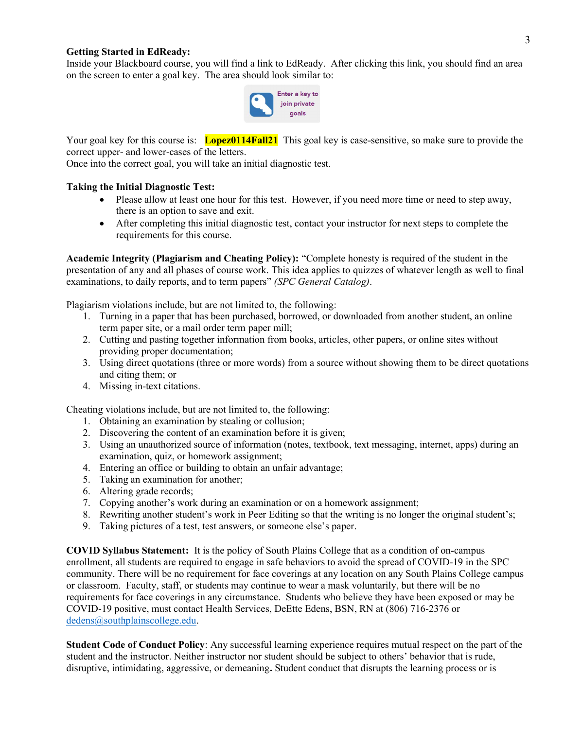## Getting Started in EdReady:

Inside your Blackboard course, you will find a link to EdReady. After clicking this link, you should find an area on the screen to enter a goal key. The area should look similar to:



Your goal key for this course is: **Lopez0114Fall21** This goal key is case-sensitive, so make sure to provide the correct upper- and lower-cases of the letters.

Once into the correct goal, you will take an initial diagnostic test.

## Taking the Initial Diagnostic Test:

- Please allow at least one hour for this test. However, if you need more time or need to step away, there is an option to save and exit.
- After completing this initial diagnostic test, contact your instructor for next steps to complete the requirements for this course.

Academic Integrity (Plagiarism and Cheating Policy): "Complete honesty is required of the student in the presentation of any and all phases of course work. This idea applies to quizzes of whatever length as well to final examinations, to daily reports, and to term papers" (SPC General Catalog).

Plagiarism violations include, but are not limited to, the following:

- 1. Turning in a paper that has been purchased, borrowed, or downloaded from another student, an online term paper site, or a mail order term paper mill;
- 2. Cutting and pasting together information from books, articles, other papers, or online sites without providing proper documentation;
- 3. Using direct quotations (three or more words) from a source without showing them to be direct quotations and citing them; or
- 4. Missing in-text citations.

Cheating violations include, but are not limited to, the following:

- 1. Obtaining an examination by stealing or collusion;
- 2. Discovering the content of an examination before it is given;
- 3. Using an unauthorized source of information (notes, textbook, text messaging, internet, apps) during an examination, quiz, or homework assignment;
- 4. Entering an office or building to obtain an unfair advantage;
- 5. Taking an examination for another;
- 6. Altering grade records;
- 7. Copying another's work during an examination or on a homework assignment;
- 8. Rewriting another student's work in Peer Editing so that the writing is no longer the original student's;
- 9. Taking pictures of a test, test answers, or someone else's paper.

COVID Syllabus Statement: It is the policy of South Plains College that as a condition of on-campus enrollment, all students are required to engage in safe behaviors to avoid the spread of COVID-19 in the SPC community. There will be no requirement for face coverings at any location on any South Plains College campus or classroom. Faculty, staff, or students may continue to wear a mask voluntarily, but there will be no requirements for face coverings in any circumstance. Students who believe they have been exposed or may be COVID-19 positive, must contact Health Services, DeEtte Edens, BSN, RN at (806) 716-2376 or dedens@southplainscollege.edu.

Student Code of Conduct Policy: Any successful learning experience requires mutual respect on the part of the student and the instructor. Neither instructor nor student should be subject to others' behavior that is rude, disruptive, intimidating, aggressive, or demeaning. Student conduct that disrupts the learning process or is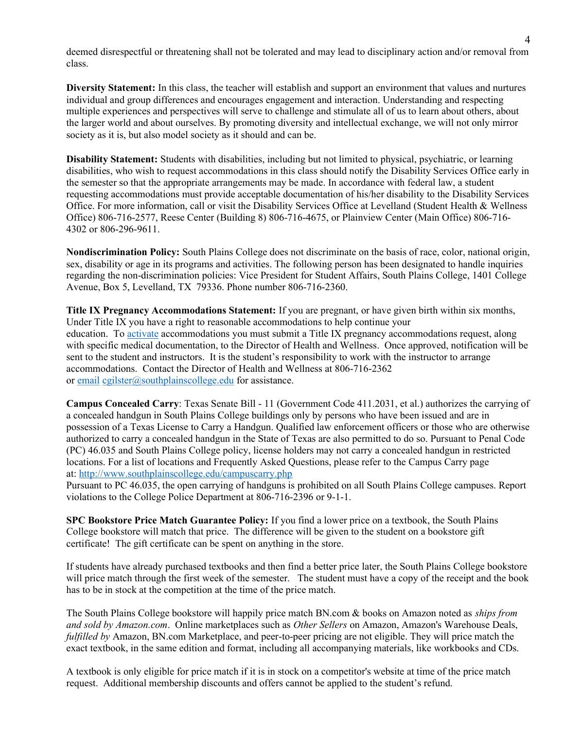deemed disrespectful or threatening shall not be tolerated and may lead to disciplinary action and/or removal from class.

Diversity Statement: In this class, the teacher will establish and support an environment that values and nurtures individual and group differences and encourages engagement and interaction. Understanding and respecting multiple experiences and perspectives will serve to challenge and stimulate all of us to learn about others, about the larger world and about ourselves. By promoting diversity and intellectual exchange, we will not only mirror society as it is, but also model society as it should and can be.

Disability Statement: Students with disabilities, including but not limited to physical, psychiatric, or learning disabilities, who wish to request accommodations in this class should notify the Disability Services Office early in the semester so that the appropriate arrangements may be made. In accordance with federal law, a student requesting accommodations must provide acceptable documentation of his/her disability to the Disability Services Office. For more information, call or visit the Disability Services Office at Levelland (Student Health & Wellness Office) 806-716-2577, Reese Center (Building 8) 806-716-4675, or Plainview Center (Main Office) 806-716- 4302 or 806-296-9611.

Nondiscrimination Policy: South Plains College does not discriminate on the basis of race, color, national origin, sex, disability or age in its programs and activities. The following person has been designated to handle inquiries regarding the non-discrimination policies: Vice President for Student Affairs, South Plains College, 1401 College Avenue, Box 5, Levelland, TX 79336. Phone number 806-716-2360.

Title IX Pregnancy Accommodations Statement: If you are pregnant, or have given birth within six months, Under Title IX you have a right to reasonable accommodations to help continue your education. To activate accommodations you must submit a Title IX pregnancy accommodations request, along with specific medical documentation, to the Director of Health and Wellness. Once approved, notification will be sent to the student and instructors. It is the student's responsibility to work with the instructor to arrange accommodations. Contact the Director of Health and Wellness at 806-716-2362 or email cgilster@southplainscollege.edu for assistance.

Campus Concealed Carry: Texas Senate Bill - 11 (Government Code 411.2031, et al.) authorizes the carrying of a concealed handgun in South Plains College buildings only by persons who have been issued and are in possession of a Texas License to Carry a Handgun. Qualified law enforcement officers or those who are otherwise authorized to carry a concealed handgun in the State of Texas are also permitted to do so. Pursuant to Penal Code (PC) 46.035 and South Plains College policy, license holders may not carry a concealed handgun in restricted locations. For a list of locations and Frequently Asked Questions, please refer to the Campus Carry page at: http://www.southplainscollege.edu/campuscarry.php

Pursuant to PC 46.035, the open carrying of handguns is prohibited on all South Plains College campuses. Report violations to the College Police Department at 806-716-2396 or 9-1-1.

SPC Bookstore Price Match Guarantee Policy: If you find a lower price on a textbook, the South Plains College bookstore will match that price. The difference will be given to the student on a bookstore gift certificate! The gift certificate can be spent on anything in the store.

If students have already purchased textbooks and then find a better price later, the South Plains College bookstore will price match through the first week of the semester. The student must have a copy of the receipt and the book has to be in stock at the competition at the time of the price match.

The South Plains College bookstore will happily price match BN.com & books on Amazon noted as *ships from* and sold by Amazon.com. Online marketplaces such as Other Sellers on Amazon, Amazon's Warehouse Deals, fulfilled by Amazon, BN.com Marketplace, and peer-to-peer pricing are not eligible. They will price match the exact textbook, in the same edition and format, including all accompanying materials, like workbooks and CDs.

A textbook is only eligible for price match if it is in stock on a competitor's website at time of the price match request. Additional membership discounts and offers cannot be applied to the student's refund.